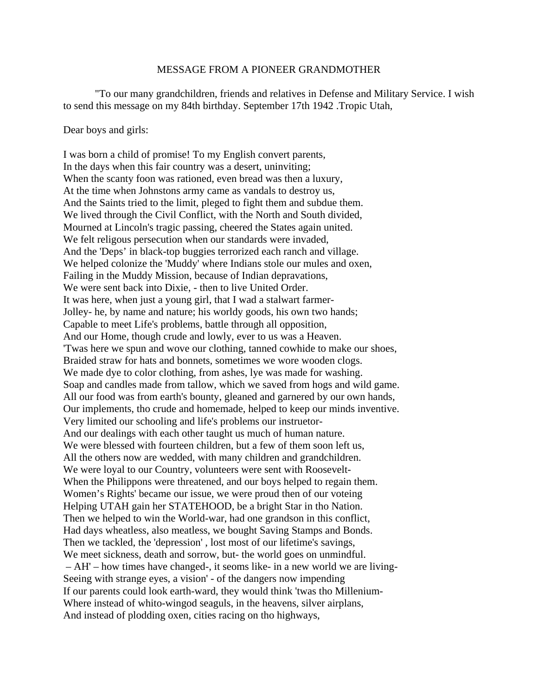## MESSAGE FROM A PIONEER GRANDMOTHER

 "To our many grandchildren, friends and relatives in Defense and Military Service. I wish to send this message on my 84th birthday. September 17th 1942 .Tropic Utah,

## Dear boys and girls:

I was born a child of promise! To my English convert parents, In the days when this fair country was a desert, uninviting; When the scanty foon was rationed, even bread was then a luxury, At the time when Johnstons army came as vandals to destroy us, And the Saints tried to the limit, pleged to fight them and subdue them. We lived through the Civil Conflict, with the North and South divided, Mourned at Lincoln's tragic passing, cheered the States again united. We felt religous persecution when our standards were invaded, And the 'Deps' in black-top buggies terrorized each ranch and village. We helped colonize the 'Muddy' where Indians stole our mules and oxen, Failing in the Muddy Mission, because of Indian depravations, We were sent back into Dixie, - then to live United Order. It was here, when just a young girl, that I wad a stalwart farmer-Jolley- he, by name and nature; his worldy goods, his own two hands; Capable to meet Life's problems, battle through all opposition, And our Home, though crude and lowly, ever to us was a Heaven. 'Twas here we spun and wove our clothing, tanned cowhide to make our shoes, Braided straw for hats and bonnets, sometimes we wore wooden clogs. We made dye to color clothing, from ashes, lye was made for washing. Soap and candles made from tallow, which we saved from hogs and wild game. All our food was from earth's bounty, gleaned and garnered by our own hands, Our implements, tho crude and homemade, helped to keep our minds inventive. Very limited our schooling and life's problems our instruetor-And our dealings with each other taught us much of human nature. We were blessed with fourteen children, but a few of them soon left us, All the others now are wedded, with many children and grandchildren. We were loyal to our Country, volunteers were sent with Roosevelt-When the Philippons were threatened, and our boys helped to regain them. Women's Rights' became our issue, we were proud then of our voteing Helping UTAH gain her STATEHOOD, be a bright Star in tho Nation. Then we helped to win the World-war, had one grandson in this conflict, Had days wheatless, also meatless, we bought Saving Stamps and Bonds. Then we tackled, the 'depression' , lost most of our lifetime's savings, We meet sickness, death and sorrow, but- the world goes on unmindful. – AH' – how times have changed-, it seoms like- in a new world we are living-Seeing with strange eyes, a vision' - of the dangers now impending If our parents could look earth-ward, they would think 'twas tho Millenium-Where instead of whito-wingod seaguls, in the heavens, silver airplans, And instead of plodding oxen, cities racing on tho highways,